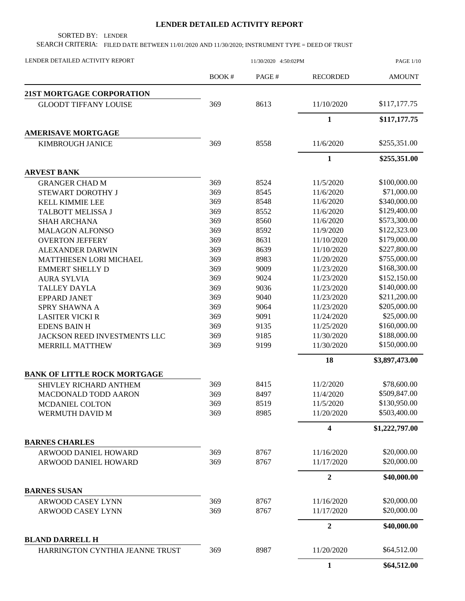## **LENDER DETAILED ACTIVITY REPORT**

SORTED BY: LENDER

SEARCH CRITERIA: FILED DATE BETWEEN 11/01/2020 AND 11/30/2020; INSTRUMENT TYPE = DEED OF TRUST

| LENDER DETAILED ACTIVITY REPORT                           | 11/30/2020 4:50:02PM |       |                         | <b>PAGE 1/10</b> |
|-----------------------------------------------------------|----------------------|-------|-------------------------|------------------|
|                                                           | <b>BOOK#</b>         | PAGE# | <b>RECORDED</b>         | <b>AMOUNT</b>    |
| <b>21ST MORTGAGE CORPORATION</b>                          |                      |       |                         |                  |
| <b>GLOODT TIFFANY LOUISE</b>                              | 369                  | 8613  | 11/10/2020              | \$117,177.75     |
|                                                           |                      |       | $\mathbf{1}$            | \$117,177.75     |
| <b>AMERISAVE MORTGAGE</b>                                 |                      |       |                         |                  |
| KIMBROUGH JANICE                                          | 369                  | 8558  | 11/6/2020               | \$255,351.00     |
|                                                           |                      |       | $\mathbf{1}$            | \$255,351.00     |
| <b>ARVEST BANK</b>                                        |                      |       |                         |                  |
| <b>GRANGER CHAD M</b>                                     | 369                  | 8524  | 11/5/2020               | \$100,000.00     |
| STEWART DOROTHY J                                         | 369                  | 8545  | 11/6/2020               | \$71,000.00      |
| <b>KELL KIMMIE LEE</b>                                    | 369                  | 8548  | 11/6/2020               | \$340,000.00     |
| TALBOTT MELISSA J                                         | 369                  | 8552  | 11/6/2020               | \$129,400.00     |
| <b>SHAH ARCHANA</b>                                       | 369                  | 8560  | 11/6/2020               | \$573,300.00     |
| <b>MALAGON ALFONSO</b>                                    | 369                  | 8592  | 11/9/2020               | \$122,323.00     |
| <b>OVERTON JEFFERY</b>                                    | 369                  | 8631  | 11/10/2020              | \$179,000.00     |
| <b>ALEXANDER DARWIN</b>                                   | 369                  | 8639  | 11/10/2020              | \$227,800.00     |
| MATTHIESEN LORI MICHAEL                                   | 369                  | 8983  | 11/20/2020              | \$755,000.00     |
| <b>EMMERT SHELLY D</b>                                    | 369                  | 9009  | 11/23/2020              | \$168,300.00     |
| <b>AURA SYLVIA</b>                                        | 369                  | 9024  | 11/23/2020              | \$152,150.00     |
| <b>TALLEY DAYLA</b>                                       | 369                  | 9036  | 11/23/2020              | \$140,000.00     |
| <b>EPPARD JANET</b>                                       | 369                  | 9040  | 11/23/2020              | \$211,200.00     |
| <b>SPRY SHAWNA A</b>                                      | 369                  | 9064  | 11/23/2020              | \$205,000.00     |
| <b>LASITER VICKI R</b>                                    | 369                  | 9091  | 11/24/2020              | \$25,000.00      |
| <b>EDENS BAIN H</b>                                       | 369                  | 9135  | 11/25/2020              | \$160,000.00     |
| JACKSON REED INVESTMENTS LLC                              | 369                  | 9185  | 11/30/2020              | \$188,000.00     |
| <b>MERRILL MATTHEW</b>                                    | 369                  | 9199  | 11/30/2020              | \$150,000.00     |
|                                                           |                      |       | 18                      | \$3,897,473.00   |
| <b>BANK OF LITTLE ROCK MORTGAGE</b>                       |                      |       |                         |                  |
| <b>SHIVLEY RICHARD ANTHEM</b>                             | 369                  | 8415  | 11/2/2020               | \$78,600.00      |
| MACDONALD TODD AARON                                      | 369                  | 8497  | 11/4/2020               | \$509,847.00     |
| <b>MCDANIEL COLTON</b>                                    | 369                  | 8519  | 11/5/2020               | \$130,950.00     |
| WERMUTH DAVID M                                           | 369                  | 8985  | 11/20/2020              | \$503,400.00     |
|                                                           |                      |       | $\overline{\mathbf{4}}$ | \$1,222,797.00   |
| <b>BARNES CHARLES</b>                                     |                      |       |                         |                  |
| ARWOOD DANIEL HOWARD                                      | 369                  | 8767  | 11/16/2020              | \$20,000.00      |
| ARWOOD DANIEL HOWARD                                      | 369                  | 8767  | 11/17/2020              | \$20,000.00      |
|                                                           |                      |       | $\boldsymbol{2}$        | \$40,000.00      |
| <b>BARNES SUSAN</b>                                       |                      |       |                         |                  |
| ARWOOD CASEY LYNN                                         | 369                  | 8767  | 11/16/2020              | \$20,000.00      |
| ARWOOD CASEY LYNN                                         | 369                  | 8767  | 11/17/2020              | \$20,000.00      |
|                                                           |                      |       | $\boldsymbol{2}$        | \$40,000.00      |
| <b>BLAND DARRELL H</b><br>HARRINGTON CYNTHIA JEANNE TRUST | 369                  | 8987  | 11/20/2020              | \$64,512.00      |
|                                                           |                      |       | $\mathbf{1}$            | \$64,512.00      |
|                                                           |                      |       |                         |                  |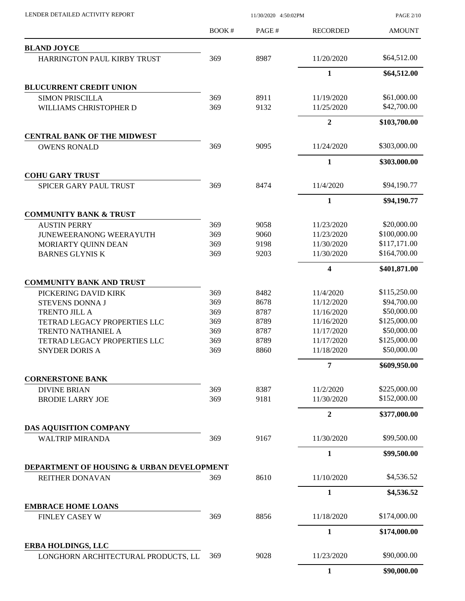|                                                                  | BOOK# | PAGE# | <b>RECORDED</b> | <b>AMOUNT</b>                |
|------------------------------------------------------------------|-------|-------|-----------------|------------------------------|
| <b>BLAND JOYCE</b>                                               |       |       |                 |                              |
| HARRINGTON PAUL KIRBY TRUST                                      | 369   | 8987  | 11/20/2020      | \$64,512.00                  |
|                                                                  |       |       | $\mathbf{1}$    | \$64,512.00                  |
| <b>BLUCURRENT CREDIT UNION</b>                                   |       |       |                 |                              |
| <b>SIMON PRISCILLA</b>                                           | 369   | 8911  | 11/19/2020      | \$61,000.00                  |
| WILLIAMS CHRISTOPHER D                                           | 369   | 9132  | 11/25/2020      | \$42,700.00                  |
|                                                                  |       |       | $\overline{2}$  | \$103,700.00                 |
| <b>CENTRAL BANK OF THE MIDWEST</b>                               |       |       |                 |                              |
| <b>OWENS RONALD</b>                                              | 369   | 9095  | 11/24/2020      | \$303,000.00                 |
|                                                                  |       |       | $\mathbf{1}$    | \$303,000.00                 |
| <b>COHU GARY TRUST</b>                                           |       |       |                 |                              |
| <b>SPICER GARY PAUL TRUST</b>                                    | 369   | 8474  | 11/4/2020       | \$94,190.77                  |
|                                                                  |       |       | $\mathbf{1}$    | \$94,190.77                  |
| <b>COMMUNITY BANK &amp; TRUST</b>                                |       |       |                 |                              |
| <b>AUSTIN PERRY</b>                                              | 369   | 9058  | 11/23/2020      | \$20,000.00                  |
| <b>JUNEWEERANONG WEERAYUTH</b>                                   | 369   | 9060  | 11/23/2020      | \$100,000.00                 |
| MORIARTY QUINN DEAN                                              | 369   | 9198  | 11/30/2020      | \$117,171.00                 |
| <b>BARNES GLYNIS K</b>                                           | 369   | 9203  | 11/30/2020      | \$164,700.00                 |
|                                                                  |       |       | 4               | \$401,871.00                 |
| <b>COMMUNITY BANK AND TRUST</b>                                  |       |       |                 |                              |
| PICKERING DAVID KIRK                                             | 369   | 8482  | 11/4/2020       | \$115,250.00                 |
| <b>STEVENS DONNA J</b>                                           | 369   | 8678  | 11/12/2020      | \$94,700.00                  |
| <b>TRENTO JILL A</b>                                             | 369   | 8787  | 11/16/2020      | \$50,000.00                  |
| TETRAD LEGACY PROPERTIES LLC                                     | 369   | 8789  | 11/16/2020      | \$125,000.00                 |
| <b>TRENTO NATHANIEL A</b>                                        | 369   | 8787  | 11/17/2020      | \$50,000.00                  |
| TETRAD LEGACY PROPERTIES LLC                                     | 369   | 8789  | 11/17/2020      | \$125,000.00                 |
| <b>SNYDER DORIS A</b>                                            | 369   | 8860  | 11/18/2020      | \$50,000.00                  |
|                                                                  |       |       | 7               | \$609,950.00                 |
| <b>CORNERSTONE BANK</b>                                          |       |       |                 |                              |
| <b>DIVINE BRIAN</b>                                              | 369   | 8387  | 11/2/2020       | \$225,000.00<br>\$152,000.00 |
| <b>BRODIE LARRY JOE</b>                                          | 369   | 9181  | 11/30/2020      |                              |
|                                                                  |       |       | $\overline{2}$  | \$377,000.00                 |
| DAS AQUISITION COMPANY<br><b>WALTRIP MIRANDA</b>                 | 369   | 9167  | 11/30/2020      | \$99,500.00                  |
|                                                                  |       |       |                 |                              |
|                                                                  |       |       | 1               | \$99,500.00                  |
| DEPARTMENT OF HOUSING & URBAN DEVELOPMENT                        |       |       |                 |                              |
| REITHER DONAVAN                                                  | 369   | 8610  | 11/10/2020      | \$4,536.52                   |
|                                                                  |       |       | $\mathbf{1}$    | \$4,536.52                   |
| <b>EMBRACE HOME LOANS</b><br><b>FINLEY CASEY W</b>               | 369   | 8856  | 11/18/2020      | \$174,000.00                 |
|                                                                  |       |       |                 |                              |
|                                                                  |       |       | 1               | \$174,000.00                 |
| <b>ERBA HOLDINGS, LLC</b><br>LONGHORN ARCHITECTURAL PRODUCTS, LL | 369   | 9028  | 11/23/2020      | \$90,000.00                  |
|                                                                  |       |       | $\mathbf{1}$    | \$90,000.00                  |

LENDER DETAILED ACTIVITY REPORT 11/30/2020 4:50:02PM

PAGE 2/10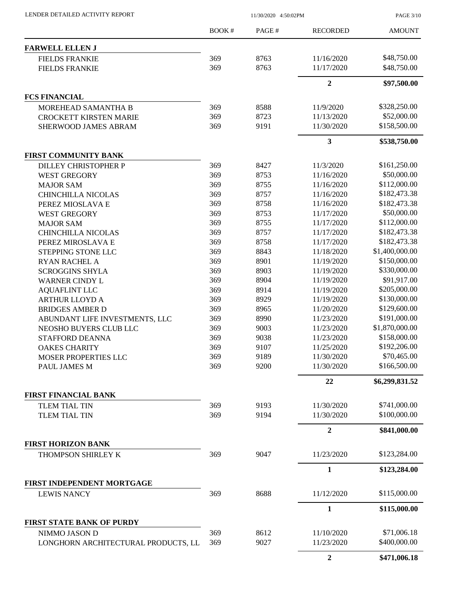| LENDER DETAILED ACTIVITY REPORT |  |
|---------------------------------|--|
|                                 |  |

LENDER DETAILED ACTIVITY REPORT 11/30/2020 4:50:02PM

PAGE 3/10

|                                                      | BOOK#      | PAGE#        | <b>RECORDED</b>          | <b>AMOUNT</b>               |
|------------------------------------------------------|------------|--------------|--------------------------|-----------------------------|
| <b>FARWELL ELLEN J</b>                               |            |              |                          |                             |
| <b>FIELDS FRANKIE</b>                                | 369        | 8763         | 11/16/2020               | \$48,750.00                 |
| <b>FIELDS FRANKIE</b>                                | 369        | 8763         | 11/17/2020               | \$48,750.00                 |
|                                                      |            |              | $\overline{2}$           | \$97,500.00                 |
| <b>FCS FINANCIAL</b>                                 |            |              |                          |                             |
| MOREHEAD SAMANTHA B                                  | 369        | 8588         | 11/9/2020                | \$328,250.00                |
| <b>CROCKETT KIRSTEN MARIE</b>                        | 369        | 8723         | 11/13/2020               | \$52,000.00                 |
| SHERWOOD JAMES ABRAM                                 | 369        | 9191         | 11/30/2020               | \$158,500.00                |
|                                                      |            |              | $\overline{\mathbf{3}}$  | \$538,750.00                |
| FIRST COMMUNITY BANK                                 |            |              |                          |                             |
| <b>DILLEY CHRISTOPHER P</b>                          | 369        | 8427         | 11/3/2020                | \$161,250.00                |
| <b>WEST GREGORY</b>                                  | 369        | 8753         | 11/16/2020               | \$50,000.00                 |
| <b>MAJOR SAM</b>                                     | 369        | 8755         | 11/16/2020               | \$112,000.00                |
| <b>CHINCHILLA NICOLAS</b>                            | 369        | 8757         | 11/16/2020               | \$182,473.38                |
| PEREZ MIOSLAVA E                                     | 369        | 8758         | 11/16/2020               | \$182,473.38                |
| <b>WEST GREGORY</b>                                  | 369        | 8753         | 11/17/2020               | \$50,000.00                 |
| <b>MAJOR SAM</b>                                     | 369        | 8755         | 11/17/2020               | \$112,000.00                |
| <b>CHINCHILLA NICOLAS</b>                            | 369        | 8757         | 11/17/2020               | \$182,473.38                |
| PEREZ MIROSLAVA E                                    | 369        | 8758         | 11/17/2020               | \$182,473.38                |
| STEPPING STONE LLC                                   | 369        | 8843         | 11/18/2020               | \$1,400,000.00              |
| <b>RYAN RACHEL A</b>                                 | 369        | 8901         | 11/19/2020               | \$150,000.00                |
| <b>SCROGGINS SHYLA</b>                               | 369        | 8903         | 11/19/2020               | \$330,000.00                |
| <b>WARNER CINDY L</b>                                | 369        | 8904         | 11/19/2020               | \$91,917.00                 |
| <b>AQUAFLINT LLC</b>                                 | 369        | 8914         | 11/19/2020               | \$205,000.00                |
| <b>ARTHUR LLOYD A</b>                                | 369        | 8929         | 11/19/2020               | \$130,000.00                |
| <b>BRIDGES AMBER D</b>                               | 369        | 8965         | 11/20/2020               | \$129,600.00                |
| ABUNDANT LIFE INVESTMENTS, LLC                       | 369        | 8990         | 11/23/2020               | \$191,000.00                |
| NEOSHO BUYERS CLUB LLC                               | 369        | 9003         | 11/23/2020               | \$1,870,000.00              |
| <b>STAFFORD DEANNA</b>                               | 369        | 9038         | 11/23/2020               | \$158,000.00                |
| <b>OAKES CHARITY</b>                                 | 369        | 9107         | 11/25/2020               | \$192,206.00                |
| MOSER PROPERTIES LLC                                 | 369        | 9189         | 11/30/2020               | \$70,465.00                 |
| PAUL JAMES M                                         | 369        | 9200         | 11/30/2020               | \$166,500.00                |
|                                                      |            |              | 22                       | \$6,299,831.52              |
| <b>FIRST FINANCIAL BANK</b>                          |            |              |                          |                             |
| <b>TLEM TIAL TIN</b>                                 | 369        | 9193         | 11/30/2020               | \$741,000.00                |
| <b>TLEM TIAL TIN</b>                                 | 369        | 9194         | 11/30/2020               | \$100,000.00                |
|                                                      |            |              | $\overline{2}$           | \$841,000.00                |
| <b>FIRST HORIZON BANK</b>                            |            |              |                          |                             |
| THOMPSON SHIRLEY K                                   | 369        | 9047         | 11/23/2020               | \$123,284.00                |
|                                                      |            |              | $\mathbf{1}$             | \$123,284.00                |
| FIRST INDEPENDENT MORTGAGE                           |            |              |                          |                             |
| <b>LEWIS NANCY</b>                                   | 369        | 8688         | 11/12/2020               | \$115,000.00                |
|                                                      |            |              | $\mathbf{1}$             | \$115,000.00                |
| <b>FIRST STATE BANK OF PURDY</b>                     |            |              |                          |                             |
| NIMMO JASON D<br>LONGHORN ARCHITECTURAL PRODUCTS, LL | 369<br>369 | 8612<br>9027 | 11/10/2020<br>11/23/2020 | \$71,006.18<br>\$400,000.00 |
|                                                      |            |              |                          |                             |
|                                                      |            |              | $\boldsymbol{2}$         | \$471,006.18                |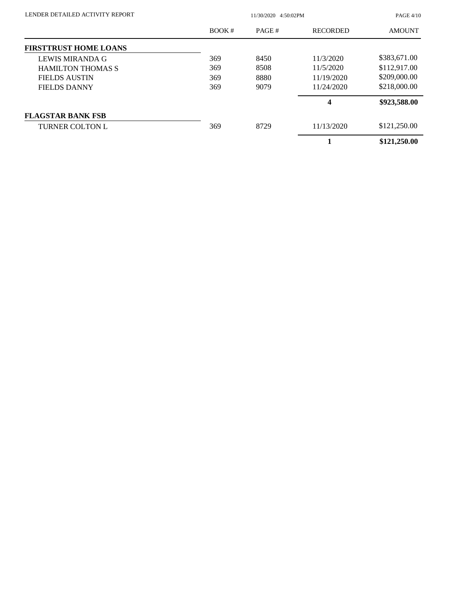| LENDER DETAILED ACTIVITY REPORT | 11/30/2020 4:50:02PM |       |                 | <b>PAGE 4/10</b> |
|---------------------------------|----------------------|-------|-----------------|------------------|
|                                 | BOOK#                | PAGE# | <b>RECORDED</b> | <b>AMOUNT</b>    |
| <b>FIRSTTRUST HOME LOANS</b>    |                      |       |                 |                  |
| LEWIS MIRANDA G                 | 369                  | 8450  | 11/3/2020       | \$383,671.00     |
| <b>HAMILTON THOMAS S</b>        | 369                  | 8508  | 11/5/2020       | \$112,917.00     |
| <b>FIELDS AUSTIN</b>            | 369                  | 8880  | 11/19/2020      | \$209,000.00     |
| <b>FIELDS DANNY</b>             | 369                  | 9079  | 11/24/2020      | \$218,000.00     |
|                                 |                      |       | 4               | \$923,588.00     |
| <b>FLAGSTAR BANK FSB</b>        |                      |       |                 |                  |
| <b>TURNER COLTON L</b>          | 369                  | 8729  | 11/13/2020      | \$121,250.00     |
|                                 |                      |       |                 | \$121,250.00     |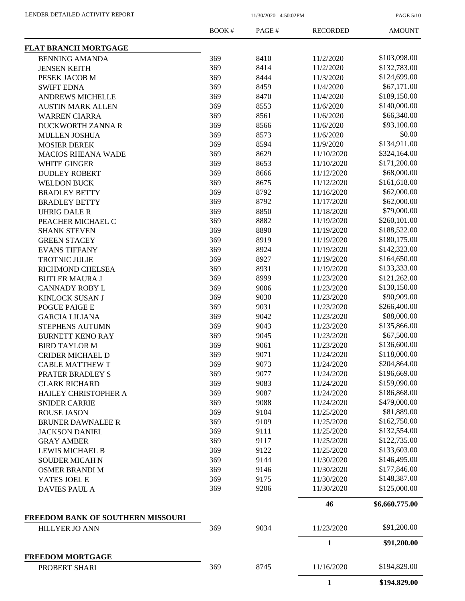PAGE 5/10

|                                                     | BOOK# | PAGE# | <b>RECORDED</b> | <b>AMOUNT</b>  |
|-----------------------------------------------------|-------|-------|-----------------|----------------|
| <b>FLAT BRANCH MORTGAGE</b>                         |       |       |                 |                |
| <b>BENNING AMANDA</b>                               | 369   | 8410  | 11/2/2020       | \$103,098.00   |
| <b>JENSEN KEITH</b>                                 | 369   | 8414  | 11/2/2020       | \$132,783.00   |
| PESEK JACOB M                                       | 369   | 8444  | 11/3/2020       | \$124,699.00   |
| <b>SWIFT EDNA</b>                                   | 369   | 8459  | 11/4/2020       | \$67,171.00    |
| ANDREWS MICHELLE                                    | 369   | 8470  | 11/4/2020       | \$189,150.00   |
| <b>AUSTIN MARK ALLEN</b>                            | 369   | 8553  | 11/6/2020       | \$140,000.00   |
| <b>WARREN CIARRA</b>                                | 369   | 8561  | 11/6/2020       | \$66,340.00    |
| DUCKWORTH ZANNA R                                   | 369   | 8566  | 11/6/2020       | \$93,100.00    |
| <b>MULLEN JOSHUA</b>                                | 369   | 8573  | 11/6/2020       | \$0.00         |
| <b>MOSIER DEREK</b>                                 | 369   | 8594  | 11/9/2020       | \$134,911.00   |
| <b>MACIOS RHEANA WADE</b>                           | 369   | 8629  | 11/10/2020      | \$324,164.00   |
| WHITE GINGER                                        | 369   | 8653  | 11/10/2020      | \$171,200.00   |
| <b>DUDLEY ROBERT</b>                                | 369   | 8666  | 11/12/2020      | \$68,000.00    |
| <b>WELDON BUCK</b>                                  | 369   | 8675  | 11/12/2020      | \$161,618.00   |
| <b>BRADLEY BETTY</b>                                | 369   | 8792  | 11/16/2020      | \$62,000.00    |
|                                                     | 369   |       | 11/17/2020      | \$62,000.00    |
| <b>BRADLEY BETTY</b>                                |       | 8792  |                 |                |
| <b>UHRIG DALE R</b>                                 | 369   | 8850  | 11/18/2020      | \$79,000.00    |
| PEACHER MICHAEL C                                   | 369   | 8882  | 11/19/2020      | \$260,101.00   |
| <b>SHANK STEVEN</b>                                 | 369   | 8890  | 11/19/2020      | \$188,522.00   |
| <b>GREEN STACEY</b>                                 | 369   | 8919  | 11/19/2020      | \$180,175.00   |
| <b>EVANS TIFFANY</b>                                | 369   | 8924  | 11/19/2020      | \$142,323.00   |
| TROTNIC JULIE                                       | 369   | 8927  | 11/19/2020      | \$164,650.00   |
| RICHMOND CHELSEA                                    | 369   | 8931  | 11/19/2020      | \$133,333.00   |
| <b>BUTLER MAURA J</b>                               | 369   | 8999  | 11/23/2020      | \$121,262.00   |
| <b>CANNADY ROBY L</b>                               | 369   | 9006  | 11/23/2020      | \$130,150.00   |
| <b>KINLOCK SUSAN J</b>                              | 369   | 9030  | 11/23/2020      | \$90,909.00    |
| POGUE PAIGE E                                       | 369   | 9031  | 11/23/2020      | \$266,400.00   |
| <b>GARCIA LILIANA</b>                               | 369   | 9042  | 11/23/2020      | \$88,000.00    |
| STEPHENS AUTUMN                                     | 369   | 9043  | 11/23/2020      | \$135,866.00   |
| <b>BURNETT KENO RAY</b>                             | 369   | 9045  | 11/23/2020      | \$67,500.00    |
| <b>BIRD TAYLOR M</b>                                | 369   | 9061  | 11/23/2020      | \$136,600.00   |
| <b>CRIDER MICHAEL D</b>                             | 369   | 9071  | 11/24/2020      | \$118,000.00   |
| <b>CABLE MATTHEW T</b>                              | 369   | 9073  | 11/24/2020      | \$204,864.00   |
| PRATER BRADLEY S                                    | 369   | 9077  | 11/24/2020      | \$196,669.00   |
| <b>CLARK RICHARD</b>                                | 369   | 9083  | 11/24/2020      | \$159,090.00   |
| HAILEY CHRISTOPHER A                                | 369   | 9087  | 11/24/2020      | \$186,868.00   |
| <b>SNIDER CARRIE</b>                                | 369   | 9088  | 11/24/2020      | \$479,000.00   |
| <b>ROUSE JASON</b>                                  | 369   | 9104  | 11/25/2020      | \$81,889.00    |
| <b>BRUNER DAWNALEE R</b>                            | 369   | 9109  | 11/25/2020      | \$162,750.00   |
| <b>JACKSON DANIEL</b>                               | 369   | 9111  | 11/25/2020      | \$132,554.00   |
| <b>GRAY AMBER</b>                                   | 369   | 9117  | 11/25/2020      | \$122,735.00   |
| <b>LEWIS MICHAEL B</b>                              | 369   | 9122  | 11/25/2020      | \$133,603.00   |
| <b>SOUDER MICAH N</b>                               | 369   | 9144  | 11/30/2020      | \$146,495.00   |
|                                                     | 369   |       | 11/30/2020      | \$177,846.00   |
| <b>OSMER BRANDI M</b>                               |       | 9146  |                 |                |
| YATES JOEL E                                        | 369   | 9175  | 11/30/2020      | \$148,387.00   |
| <b>DAVIES PAUL A</b>                                | 369   | 9206  | 11/30/2020      | \$125,000.00   |
|                                                     |       |       | 46              | \$6,660,775.00 |
| FREEDOM BANK OF SOUTHERN MISSOURI<br>HILLYER JO ANN | 369   | 9034  | 11/23/2020      | \$91,200.00    |
|                                                     |       |       | $\mathbf{1}$    | \$91,200.00    |
| <b>FREEDOM MORTGAGE</b>                             |       |       |                 |                |
| PROBERT SHARI                                       | 369   | 8745  | 11/16/2020      | \$194,829.00   |
|                                                     |       |       | $\mathbf{1}$    | \$194,829.00   |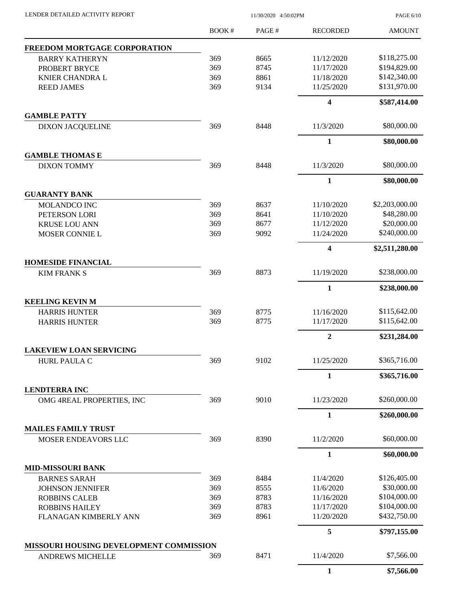PAGE 6/10

|                                             | BOOK# | PAGE# | <b>RECORDED</b>         | <b>AMOUNT</b>  |
|---------------------------------------------|-------|-------|-------------------------|----------------|
| FREEDOM MORTGAGE CORPORATION                |       |       |                         |                |
| <b>BARRY KATHERYN</b>                       | 369   | 8665  | 11/12/2020              | \$118,275.00   |
| PROBERT BRYCE                               | 369   | 8745  | 11/17/2020              | \$194,829.00   |
| <b>KNIER CHANDRA L</b>                      | 369   | 8861  | 11/18/2020              | \$142,340.00   |
| <b>REED JAMES</b>                           | 369   | 9134  | 11/25/2020              | \$131,970.00   |
|                                             |       |       | $\overline{\mathbf{4}}$ | \$587,414.00   |
| <b>GAMBLE PATTY</b>                         |       |       |                         |                |
| <b>DIXON JACQUELINE</b>                     | 369   | 8448  | 11/3/2020               | \$80,000.00    |
|                                             |       |       | $\mathbf{1}$            | \$80,000.00    |
| <b>GAMBLE THOMAS E</b>                      |       |       |                         |                |
| <b>DIXON TOMMY</b>                          | 369   | 8448  | 11/3/2020               | \$80,000.00    |
|                                             |       |       | $\mathbf{1}$            | \$80,000.00    |
| <b>GUARANTY BANK</b><br><b>MOLANDCO INC</b> | 369   | 8637  | 11/10/2020              | \$2,203,000.00 |
| PETERSON LORI                               | 369   | 8641  | 11/10/2020              | \$48,280.00    |
| <b>KRUSE LOU ANN</b>                        | 369   | 8677  | 11/12/2020              | \$20,000.00    |
| MOSER CONNIE L                              | 369   | 9092  | 11/24/2020              | \$240,000.00   |
|                                             |       |       | $\overline{\mathbf{4}}$ | \$2,511,280.00 |
| <b>HOMESIDE FINANCIAL</b>                   |       |       |                         |                |
| <b>KIM FRANK S</b>                          | 369   | 8873  | 11/19/2020              | \$238,000.00   |
|                                             |       |       | $\mathbf{1}$            | \$238,000.00   |
| <b>KEELING KEVIN M</b>                      |       |       |                         |                |
| <b>HARRIS HUNTER</b>                        | 369   | 8775  | 11/16/2020              | \$115,642.00   |
| <b>HARRIS HUNTER</b>                        | 369   | 8775  | 11/17/2020              | \$115,642.00   |
|                                             |       |       | $\overline{2}$          | \$231,284.00   |
| <b>LAKEVIEW LOAN SERVICING</b>              |       |       | 11/25/2020              | \$365,716.00   |
| <b>HURL PAULA C</b>                         | 369   | 9102  |                         |                |
| <b>LENDTERRA INC</b>                        |       |       | 1                       | \$365,716.00   |
| OMG 4REAL PROPERTIES, INC                   | 369   | 9010  | 11/23/2020              | \$260,000.00   |
|                                             |       |       | 1                       | \$260,000.00   |
| <b>MAILES FAMILY TRUST</b>                  |       |       |                         |                |
| MOSER ENDEAVORS LLC                         | 369   | 8390  | 11/2/2020               | \$60,000.00    |
|                                             |       |       | $\mathbf{1}$            | \$60,000.00    |
| <b>MID-MISSOURI BANK</b>                    |       |       |                         |                |
| <b>BARNES SARAH</b>                         | 369   | 8484  | 11/4/2020               | \$126,405.00   |
| <b>JOHNSON JENNIFER</b>                     | 369   | 8555  | 11/6/2020               | \$30,000.00    |
| <b>ROBBINS CALEB</b>                        | 369   | 8783  | 11/16/2020              | \$104,000.00   |
| <b>ROBBINS HAILEY</b>                       | 369   | 8783  | 11/17/2020              | \$104,000.00   |
| FLANAGAN KIMBERLY ANN                       | 369   | 8961  | 11/20/2020              | \$432,750.00   |
|                                             |       |       | 5                       | \$797,155.00   |
| MISSOURI HOUSING DEVELOPMENT COMMISSION     |       |       |                         |                |
| <b>ANDREWS MICHELLE</b>                     | 369   | 8471  | 11/4/2020               | \$7,566.00     |
|                                             |       |       | $\mathbf{1}$            | \$7,566.00     |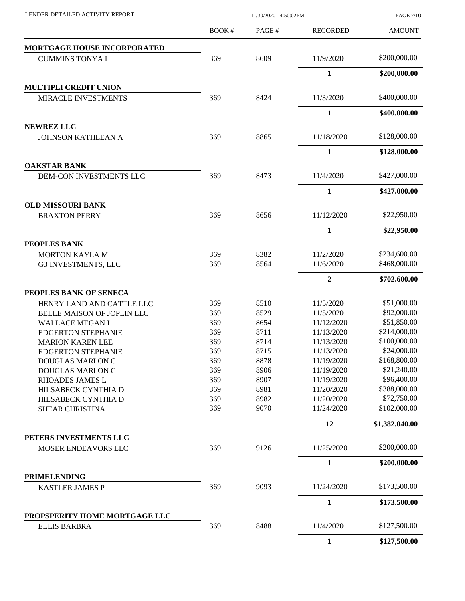PAGE 7/10

|                                                      | BOOK#      | PAGE#        | <b>RECORDED</b>          | <b>AMOUNT</b>               |
|------------------------------------------------------|------------|--------------|--------------------------|-----------------------------|
| <b>MORTGAGE HOUSE INCORPORATED</b>                   |            |              |                          |                             |
| <b>CUMMINS TONYAL</b>                                | 369        | 8609         | 11/9/2020                | \$200,000.00                |
|                                                      |            |              | 1                        | \$200,000.00                |
| <b>MULTIPLI CREDIT UNION</b>                         |            |              |                          |                             |
| MIRACLE INVESTMENTS                                  | 369        | 8424         | 11/3/2020                | \$400,000.00                |
|                                                      |            |              | $\mathbf{1}$             | \$400,000.00                |
| <b>NEWREZ LLC</b>                                    |            |              |                          |                             |
| JOHNSON KATHLEAN A                                   | 369        | 8865         | 11/18/2020               | \$128,000.00                |
|                                                      |            |              | $\mathbf{1}$             | \$128,000.00                |
| <b>OAKSTAR BANK</b><br>DEM-CON INVESTMENTS LLC       | 369        | 8473         | 11/4/2020                | \$427,000.00                |
|                                                      |            |              |                          |                             |
|                                                      |            |              | 1                        | \$427,000.00                |
| <b>OLD MISSOURI BANK</b><br><b>BRAXTON PERRY</b>     | 369        | 8656         | 11/12/2020               | \$22,950.00                 |
|                                                      |            |              | $\mathbf{1}$             | \$22,950.00                 |
| PEOPLES BANK                                         |            |              |                          |                             |
| <b>MORTON KAYLA M</b>                                | 369        | 8382         | 11/2/2020                | \$234,600.00                |
| G3 INVESTMENTS, LLC                                  | 369        | 8564         | 11/6/2020                | \$468,000.00                |
|                                                      |            |              | $\overline{2}$           | \$702,600.00                |
| PEOPLES BANK OF SENECA                               |            |              |                          |                             |
| HENRY LAND AND CATTLE LLC                            | 369        | 8510         | 11/5/2020                | \$51,000.00                 |
| BELLE MAISON OF JOPLIN LLC                           | 369        | 8529         | 11/5/2020                | \$92,000.00                 |
| <b>WALLACE MEGAN L</b>                               | 369        | 8654         | 11/12/2020               | \$51,850.00                 |
| <b>EDGERTON STEPHANIE</b>                            | 369        | 8711         | 11/13/2020               | \$214,000.00                |
| <b>MARION KAREN LEE</b>                              | 369        | 8714         | 11/13/2020               | \$100,000.00                |
| <b>EDGERTON STEPHANIE</b>                            | 369        | 8715         | 11/13/2020               | \$24,000.00                 |
| DOUGLAS MARLON C                                     | 369        | 8878         | 11/19/2020               | \$168,800.00                |
| DOUGLAS MARLON C                                     | 369        | 8906         | 11/19/2020               | \$21,240.00                 |
| RHOADES JAMES L                                      | 369        | 8907         | 11/19/2020               | \$96,400.00                 |
| HILSABECK CYNTHIA D                                  | 369        | 8981         | 11/20/2020               | \$388,000.00                |
| HILSABECK CYNTHIA D<br><b>SHEAR CHRISTINA</b>        | 369<br>369 | 8982<br>9070 | 11/20/2020<br>11/24/2020 | \$72,750.00<br>\$102,000.00 |
|                                                      |            |              | 12                       | \$1,382,040.00              |
| PETERS INVESTMENTS LLC                               |            |              |                          |                             |
| MOSER ENDEAVORS LLC                                  | 369        | 9126         | 11/25/2020               | \$200,000.00                |
|                                                      |            |              | $\mathbf{1}$             | \$200,000.00                |
| <b>PRIMELENDING</b>                                  |            |              |                          |                             |
| <b>KASTLER JAMES P</b>                               | 369        | 9093         | 11/24/2020               | \$173,500.00                |
|                                                      |            |              | $\mathbf{1}$             | \$173,500.00                |
| PROPSPERITY HOME MORTGAGE LLC<br><b>ELLIS BARBRA</b> | 369        | 8488         | 11/4/2020                | \$127,500.00                |
|                                                      |            |              | $\mathbf{1}$             | \$127,500.00                |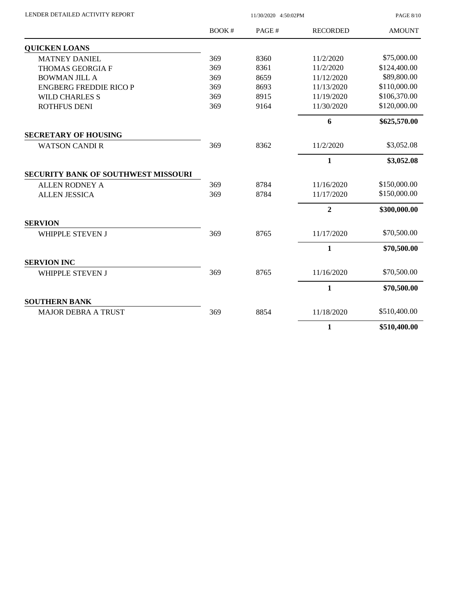| LENDER DETAILED ACTIVITY REPORT |  |
|---------------------------------|--|
|                                 |  |

LENDER DETAILED ACTIVITY REPORT 11/30/2020 4:50:02PM

PAGE 8/10

|                                            | BOOK# | PAGE# | <b>RECORDED</b> | <b>AMOUNT</b> |
|--------------------------------------------|-------|-------|-----------------|---------------|
| <b>QUICKEN LOANS</b>                       |       |       |                 |               |
| <b>MATNEY DANIEL</b>                       | 369   | 8360  | 11/2/2020       | \$75,000.00   |
| THOMAS GEORGIA F                           | 369   | 8361  | 11/2/2020       | \$124,400.00  |
| <b>BOWMAN JILL A</b>                       | 369   | 8659  | 11/12/2020      | \$89,800.00   |
| <b>ENGBERG FREDDIE RICO P</b>              | 369   | 8693  | 11/13/2020      | \$110,000.00  |
| <b>WILD CHARLES S</b>                      | 369   | 8915  | 11/19/2020      | \$106,370.00  |
| <b>ROTHFUS DENI</b>                        | 369   | 9164  | 11/30/2020      | \$120,000.00  |
|                                            |       |       | 6               | \$625,570.00  |
| <b>SECRETARY OF HOUSING</b>                |       |       |                 |               |
| <b>WATSON CANDI R</b>                      | 369   | 8362  | 11/2/2020       | \$3,052.08    |
|                                            |       |       | $\mathbf{1}$    | \$3,052.08    |
| <b>SECURITY BANK OF SOUTHWEST MISSOURI</b> |       |       |                 |               |
| <b>ALLEN RODNEY A</b>                      | 369   | 8784  | 11/16/2020      | \$150,000.00  |
| <b>ALLEN JESSICA</b>                       | 369   | 8784  | 11/17/2020      | \$150,000.00  |
|                                            |       |       | $\overline{2}$  | \$300,000.00  |
| <b>SERVION</b>                             |       |       |                 |               |
| <b>WHIPPLE STEVEN J</b>                    | 369   | 8765  | 11/17/2020      | \$70,500.00   |
|                                            |       |       | $\mathbf{1}$    | \$70,500.00   |
| <b>SERVION INC</b>                         |       |       |                 |               |
| <b>WHIPPLE STEVEN J</b>                    | 369   | 8765  | 11/16/2020      | \$70,500.00   |
|                                            |       |       | 1               | \$70,500.00   |
| <b>SOUTHERN BANK</b>                       |       |       |                 |               |
| <b>MAJOR DEBRA A TRUST</b>                 | 369   | 8854  | 11/18/2020      | \$510,400.00  |
|                                            |       |       | 1               | \$510,400.00  |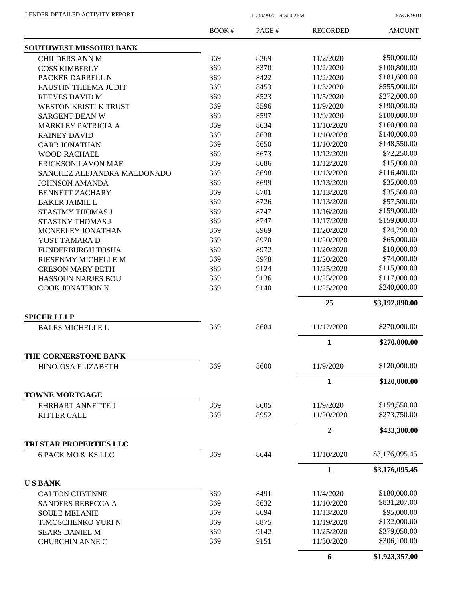PAGE 9/10

|                                            | BOOK# | PAGE# | <b>RECORDED</b>  | <b>AMOUNT</b>  |
|--------------------------------------------|-------|-------|------------------|----------------|
| <b>SOUTHWEST MISSOURI BANK</b>             |       |       |                  |                |
| <b>CHILDERS ANN M</b>                      | 369   | 8369  | 11/2/2020        | \$50,000.00    |
| <b>COSS KIMBERLY</b>                       | 369   | 8370  | 11/2/2020        | \$100,800.00   |
| PACKER DARRELL N                           | 369   | 8422  | 11/2/2020        | \$181,600.00   |
| <b>FAUSTIN THELMA JUDIT</b>                | 369   | 8453  | 11/3/2020        | \$555,000.00   |
| <b>REEVES DAVID M</b>                      | 369   | 8523  | 11/5/2020        | \$272,000.00   |
| <b>WESTON KRISTI K TRUST</b>               | 369   | 8596  | 11/9/2020        | \$190,000.00   |
| <b>SARGENT DEAN W</b>                      | 369   | 8597  | 11/9/2020        | \$100,000.00   |
| <b>MARKLEY PATRICIA A</b>                  | 369   | 8634  | 11/10/2020       | \$160,000.00   |
| <b>RAINEY DAVID</b>                        | 369   | 8638  | 11/10/2020       | \$140,000.00   |
| <b>CARR JONATHAN</b>                       | 369   | 8650  | 11/10/2020       | \$148,550.00   |
| <b>WOOD RACHAEL</b>                        | 369   | 8673  | 11/12/2020       | \$72,250.00    |
| <b>ERICKSON LAVON MAE</b>                  | 369   | 8686  | 11/12/2020       | \$15,000.00    |
| SANCHEZ ALEJANDRA MALDONADO                | 369   | 8698  | 11/13/2020       | \$116,400.00   |
| <b>JOHNSON AMANDA</b>                      | 369   | 8699  | 11/13/2020       | \$35,000.00    |
| <b>BENNETT ZACHARY</b>                     | 369   | 8701  | 11/13/2020       | \$35,500.00    |
| <b>BAKER JAIMIE L</b>                      | 369   | 8726  | 11/13/2020       | \$57,500.00    |
| STASTMY THOMAS J                           | 369   | 8747  | 11/16/2020       | \$159,000.00   |
| STASTNY THOMAS J                           | 369   | 8747  | 11/17/2020       | \$159,000.00   |
| <b>MCNEELEY JONATHAN</b>                   | 369   | 8969  | 11/20/2020       | \$24,290.00    |
| YOST TAMARA D                              | 369   | 8970  | 11/20/2020       | \$65,000.00    |
| FUNDERBURGH TOSHA                          | 369   | 8972  | 11/20/2020       | \$10,000.00    |
| RIESENMY MICHELLE M                        | 369   | 8978  | 11/20/2020       | \$74,000.00    |
| <b>CRESON MARY BETH</b>                    | 369   | 9124  | 11/25/2020       | \$115,000.00   |
| HASSOUN NARJES BOU                         | 369   | 9136  | 11/25/2020       | \$117,000.00   |
| <b>COOK JONATHON K</b>                     | 369   | 9140  | 11/25/2020       | \$240,000.00   |
|                                            |       |       | 25               | \$3,192,890.00 |
| <b>SPICER LLLP</b>                         |       |       |                  |                |
| <b>BALES MICHELLE L</b>                    | 369   | 8684  | 11/12/2020       | \$270,000.00   |
|                                            |       |       | $\mathbf{1}$     | \$270,000.00   |
| THE CORNERSTONE BANK<br>HINOJOSA ELIZABETH | 369   | 8600  | 11/9/2020        | \$120,000.00   |
|                                            |       |       | 1                | \$120,000.00   |
| <b>TOWNE MORTGAGE</b>                      |       |       |                  |                |
| <b>EHRHART ANNETTE J</b>                   | 369   | 8605  | 11/9/2020        | \$159,550.00   |
| <b>RITTER CALE</b>                         | 369   | 8952  | 11/20/2020       | \$273,750.00   |
|                                            |       |       | $\boldsymbol{2}$ | \$433,300.00   |
| TRI STAR PROPERTIES LLC                    |       |       |                  |                |
| 6 PACK MO & KS LLC                         | 369   | 8644  | 11/10/2020       | \$3,176,095.45 |
|                                            |       |       | $\mathbf{1}$     | \$3,176,095.45 |
| <b>USBANK</b>                              |       |       |                  |                |
| <b>CALTON CHYENNE</b>                      | 369   | 8491  | 11/4/2020        | \$180,000.00   |
| SANDERS REBECCA A                          | 369   | 8632  | 11/10/2020       | \$831,207.00   |
| <b>SOULE MELANIE</b>                       | 369   | 8694  | 11/13/2020       | \$95,000.00    |
| TIMOSCHENKO YURI N                         | 369   | 8875  | 11/19/2020       | \$132,000.00   |
| <b>SEARS DANIEL M</b>                      | 369   | 9142  | 11/25/2020       | \$379,050.00   |
| <b>CHURCHIN ANNE C</b>                     | 369   | 9151  | 11/30/2020       | \$306,100.00   |
|                                            |       |       | 6                | \$1,923,357.00 |